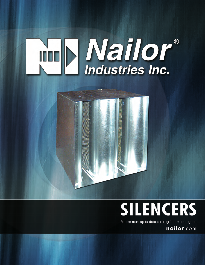# **Mailor**®



## **SILENCERS**

For the most up to date catalog information go to

nailor.com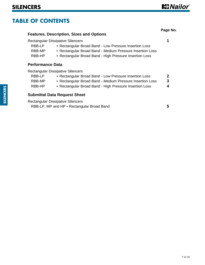#### **TABLE OF CONTENTS**

|                            |                                                                                                                                                                                                                            | Page No. |
|----------------------------|----------------------------------------------------------------------------------------------------------------------------------------------------------------------------------------------------------------------------|----------|
|                            | <b>Features, Description, Sizes and Options</b>                                                                                                                                                                            |          |
| RBB-LP<br>RBB-MP<br>RBB-HP | <b>Rectangular Dissipative Silencers</b><br>• Rectangular Broad Band - Low Pressure Insertion Loss<br>• Rectangular Broad Band - Medium Pressure Insertion Loss<br>• Rectangular Broad Band - High Pressure Insertion Loss | 1        |
| <b>Performance Data</b>    |                                                                                                                                                                                                                            |          |
|                            | <b>Rectangular Dissipative Silencers</b>                                                                                                                                                                                   |          |
| RBB-LP                     | • Rectangular Broad Band - Low Pressure Insertion Loss                                                                                                                                                                     | 2        |
| RBB-MP                     | • Rectangular Broad Band - Medium Pressure Insertion Loss                                                                                                                                                                  | 3        |
| RBB-HP                     | • Rectangular Broad Band - High Pressure Insertion Loss                                                                                                                                                                    | 4        |
|                            | <b>Submittal Data Request Sheet</b>                                                                                                                                                                                        |          |
|                            | <b>Rectangular Dissipative Silencers</b>                                                                                                                                                                                   | 5        |
|                            | RBB-LP, MP and HP • Rectangular Broad Band                                                                                                                                                                                 |          |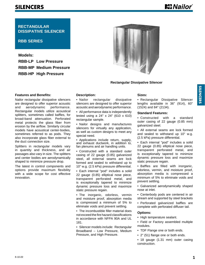#### <span id="page-2-0"></span>**SILENCERS**

**RECTANGULAR DISSIPATIVE SILENCER**

#### **RBB SERIES**

**Models: RBB-LP Low Pressure RBB-MP Medium Pressure RBB-HP High Pressure**



#### **Rectangular Dissipative Silencer**

#### **Features and Benefits:**

Nailor rectangular dissipative silencers are designed to offer superior acoustic and aerodynamic performance. Rectangular models utilize acoustical splitters, sometimes called baffles, for broad-band attenuation. Perforated metal protects the glass fiber from erosion by the airflow. Similarly circular models have acoustical center-bodies, sometimes referred to as pods. They also incorporate glass fiber external to the duct connection size.

Splitters in rectangular models vary in quantity and thickness, and air passages also vary in size. The splitters and center bodies are aerodynamically shaped to minimize pressure drop.

The latest in control components and options provide maximum flexibility with a wide scope for cost effective innovation.

#### **Description:**

• Nailor rectangular dissipative silencers are designed to offer superior acoustic and aerodynamic performance.

• All performance data is independently tested using a 24" x 24" (610 x 610) rectangular sample.

• Nailor designs and manufactures silencers for virtually any application, as well as custom designs to meet any special need.

• Applications include return, supply, and exhaust ductwork, in addition to, fan plenums and air handling units.

• Constructed with a standard outer casing of 22 gauge (0.85) galvanized steel, all external seams are lock formed and sealed to withstand up to 10" w.g. (2.5 kPa) pressure differential.

• Each internal "pod" includes a solid 22 gauge (0.85) elliptical nose piece, transparent perforated metal, and is exceptionally tapered to minimize dynamic pressure loss and maximize static pressure regain.

• The inorganic, odorless, vermin and moisture proof, absorption media is compressed a minimum of 5% to eliminate voids and prevent settling.

• The incombustible filler material does not exceed the fire hazard classifications in accordance with NFPA 90A and UL 181.

• Silencer models include: Rectangular Broadband – Low Pressure, Medium Pressure, and High Pressure.

#### **Sizes:**

• Rectangular Dissipative Silencer lengths available in 36" (914), 60" (1524) and 84" (2134).

#### **Standard Features:**

• Constructed with a standard outer casing of 22 gauge (0.85 mm) galvanized steel.

• All external seams are lock formed and sealed to withstand up 10" w.g. (2.5 kPa) pressure differential.

• Each internal "pod" includes a solid 22 gauge (0.85) elliptical nose piece, transparent perforated metal, and is exceptionally tapered to minimize dynamic pressure loss and maximize static pressure regain.

• Baffles are filled with inorganic, odorless, vermin, and moisture proof, absorption media is compressed a minimum of 5% to eliminate voids and prevent settling.

- Galvanized aerodynamically shaped nose at inlet.
- Centerbody pods are centered in air stream and supported by steel brackets

• Perforated galvanized baffles are complete with perforated diffuser tail.

#### **Options:**

- High temperature sealant.
- Field or Factory assembled multiple modules.
- TDF Flange one or both ends.
- 2" (51) flange one or both ends.
- 18 gauge (1.31 mm) outer casing construction.

6-10-22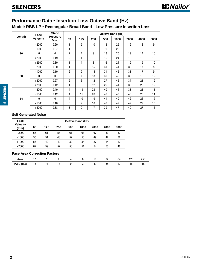#### <span id="page-3-0"></span>**Performance Data • Insertion Loss Octave Band (Hz)**

#### **Model: RBB-LP • Rectangular Broad Band - Low Pressure Insertion Loss**

|        | Face            | <b>Static</b>                  |                |     |     |     | <b>Octave Band (Hz)</b> |      |      |      |
|--------|-----------------|--------------------------------|----------------|-----|-----|-----|-------------------------|------|------|------|
| Length | <b>Velocity</b> | <b>Pressure</b><br><b>Drop</b> | 63             | 125 | 250 | 500 | 1000                    | 2000 | 4000 | 8000 |
|        | $-2000$         | 0.20                           | $\mathbf{1}$   | 5   | 10  | 18  | 25                      | 19   | 13   | 9    |
|        | $-1000$         | 0.07                           | $\mathbf{1}$   | 5   | 9   | 19  | 25                      | 19   | 13   | 10   |
| 36     | $\bf{0}$        | $\mathbf{0}$                   | $\overline{2}$ | 4   | 9   | 18  | 25                      | 19   | 14   | 10   |
|        | $+2000$         | 0.19                           | $\overline{2}$ | 4   | 8   | 16  | 24                      | 19   | 15   | 10   |
|        | $+2500$         | 0.30                           | 1              | 4   | 8   | 16  | 24                      | 19   | 15   | 10   |
|        | $-2000$         | 0.30                           | 1              | 9   | 15  | 31  | 41                      | 30   | 17   | 8    |
|        | $-1000$         | 0.10                           | $\overline{2}$ | 9   | 14  | 31  | 42                      | 31   | 17   | 9    |
| 60     | $\Omega$        | $\Omega$                       | $\overline{2}$ | 7   | 13  | 30  | 45                      | 33   | 19   | 12   |
|        | $+2000$         | 0.27                           | $\overline{2}$ | 6   | 12  | 27  | 42                      | 34   | 21   | 12   |
|        | $+2500$         | 0.42                           | $\mathbf{1}$   | 6   | 12  | 26  | 41                      | 33   | 20   | 12   |
|        | $-2000$         | 0.40                           | 4              | 13  | 23  | 40  | 44                      | 38   | 21   | 11   |
|        | $-1000$         | 0.12                           | 4              | 11  | 20  | 42  | 47                      | 40   | 23   | 11   |
| 84     | $\Omega$        | $\mathbf{0}$                   | 4              | 10  | 19  | 41  | 49                      | 42   | 26   | 15   |
|        | $+1000$         | 0.10                           | 3              | 9   | 18  | 40  | 49                      | 42   | 27   | 15   |
|        | $+2000$         | 0.38                           | 3              | 9   | 17  | 39  | 47                      | 40   | 27   | 16   |

#### **Self Generated Noise**

| Face                     |    |     |     |     | <b>Octave Band (Hz)</b> |      |      |      |
|--------------------------|----|-----|-----|-----|-------------------------|------|------|------|
| <b>Velocity</b><br>(fpm) | 63 | 125 | 250 | 500 | 1000                    | 2000 | 4000 | 8000 |
| $-2000$                  | 66 | 61  | 57  | 61  | 63                      | 67   | 59   | 52   |
| $-1000$                  | 55 | 51  | 48  | 52  | 56                      | 49   | 42   | 32   |
| $+1000$                  | 58 | 49  | 40  | 39  | 34                      | 27   | 24   | 22   |
| $+2000$                  | 62 | 59  | 52  | 50  | 51                      | 54   | 53   | 48   |

#### **Face Area Correction Factors**

| Area     | v.v |     |  | י -<br>. v | nn<br>ັບ∠ | O۴               | 128 | 256 |
|----------|-----|-----|--|------------|-----------|------------------|-----|-----|
| PWL (dB) | -შ  | $-$ |  |            |           | - 1<br>$\cdot$ . | È   |     |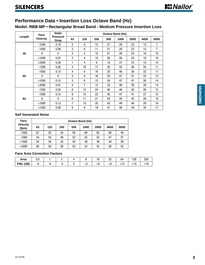#### <span id="page-4-0"></span>**Performance Data • Insertion Loss Octave Band (Hz)**

#### **Model: RBB-MP • Rectangular Broad Band - Medium Pressure Insertion Loss**

|        | Face            | <b>Static</b>                  |                |                 |     |     | <b>Octave Band (Hz)</b> |      |      |                 |
|--------|-----------------|--------------------------------|----------------|-----------------|-----|-----|-------------------------|------|------|-----------------|
| Length | <b>Velocity</b> | <b>Pressure</b><br><b>Drop</b> | 63             | 125             | 250 | 500 | 1000                    | 2000 | 4000 | 8000            |
|        | $-1500$         | 0.18                           | $\overline{2}$ | 6               | 12  | 21  | 29                      | 23   | 13   | $\overline{7}$  |
|        | $-1000$         | 0.09                           | $\overline{2}$ | 6               | 11  | 21  | 29                      | 23   | 13   | $\overline{7}$  |
| 36     | $\Omega$        | $\mathbf{0}$                   | $\overline{2}$ | 5               | 10  | 21  | 28                      | 23   | 16   | 10 <sup>1</sup> |
|        | $+1000$         | 0.07                           | $\overline{2}$ | 4               | 10  | 20  | 28                      | 23   | 16   | 10 <sup>°</sup> |
|        | $+2000$         | 0.28                           | 1              | 4               | 9   | 18  | 27                      | 23   | 15   | 10 <sup>°</sup> |
|        | $-1500$         | 0.26                           | 3              | 10 <sup>1</sup> | 17  | 35  | 45                      | 36   | 20   | 11              |
|        | $-1000$         | 0.12                           | 4              | 9               | 16  | 35  | 46                      | 38   | 22   | 11              |
| 60     | $\mathbf{0}$    | $\mathbf{0}$                   | 5              | 9               | 16  | 35  | 47                      | 41   | 25   | 14              |
|        | $+1000$         | 0.10                           | 5              | 8               | 15  | 34  | 47                      | 41   | 26   | 14              |
|        | $+2000$         | 0.41                           | 4              | $\overline{7}$  | 15  | 33  | 46                      | 39   | 26   | 14              |
|        | $-1500$         | 0.30                           | 8              | 12              | 24  | 40  | 46                      | 40   | 26   | 15              |
|        | $-1000$         | 0.15                           | 8              | 12              | 23  | 42  | 47                      | 41   | 27   | 15              |
| 84     | $\mathbf{0}$    | $\mathbf{0}$                   | 6              | 11              | 21  | 43  | 49                      | 45   | 29   | 16              |
|        | $+1000$         | 0.13                           | 7              | 10              | 20  | 42  | 49                      | 46   | 29   | 16              |
|        | $+1500$         | 0.28                           | 6              | 9               | 19  | 41  | 46                      | 44   | 30   | 17              |

#### **Self Generated Noise**

| Face                     |    |     |     |     | <b>Octave Band (Hz)</b> |      |      |      |
|--------------------------|----|-----|-----|-----|-------------------------|------|------|------|
| <b>Velocity</b><br>(fpm) | 63 | 125 | 250 | 500 | 1000                    | 2000 | 4000 | 8000 |
| $-1500$                  | 61 | 55  | 54  | 58  | 60                      | 62   | 56   | 48   |
| $-1000$                  | 54 | 50  | 49  | 52  | 55                      | 55   | 47   | 37   |
| $+1000$                  | 54 | 50  | 42  | 42  | 39                      | 36   | 34   | 29   |
| $+2000$                  | 60 | 59  | 59  | 52  | 52                      | 55   | 56   | 52   |

#### **Face Area Correction Factors**

| Area                 | $\overline{\phantom{0}}$<br>υ.υ<br>- - - |    |  |    | . ب | nn<br>ັ | 64  | 1 ን Ջ<br>، دە | 256 |
|----------------------|------------------------------------------|----|--|----|-----|---------|-----|---------------|-----|
| . (dB'<br><b>PWL</b> | -ბ                                       | -- |  | ⊤∪ |     | гэ      | ے ا | טו            | ำ∪  |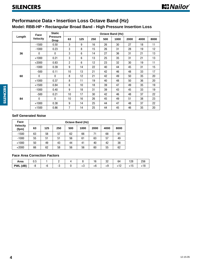#### <span id="page-5-0"></span>**Performance Data • Insertion Loss Octave Band (Hz)**

#### **Model: RBB-HP • Rectangular Broad Band - High Pressure Insertion Loss**

|        | Face            | <b>Static</b>                  |                |                  |     | <b>Octave Band (Hz)</b> |      |      |      |      |
|--------|-----------------|--------------------------------|----------------|------------------|-----|-------------------------|------|------|------|------|
| Length | <b>Velocity</b> | <b>Pressure</b><br><b>Drop</b> | 63             | 125              | 250 | 500                     | 1000 | 2000 | 4000 | 8000 |
|        | $-1500$         | 0.50                           | 3              | 9                | 16  | 26                      | 30   | 27   | 18   | 11   |
|        | $-1000$         | 0.23                           | 3              | 8                | 15  | 26                      | 31   | 28   | 19   | 12   |
| 36     | $\Omega$        | $\mathbf{0}$                   | 3              | 6                | 14  | 27                      | 36   | 31   | 21   | 13   |
|        | $+1000$         | 0.21                           | 3              | 6                | 13  | 25                      | 35   | 31   | 21   | 13   |
|        | $+2000$         | 0.83                           | $\overline{2}$ | 6                | 12  | 23                      | 32   | 30   | 19   | 11   |
|        | $-1000$         | 0.39                           | 9              | 14               | 22  | 40                      | 44   | 45   | 31   | 15   |
|        | $-500$          | 0.11                           | 10             | 13               | 21  | 42                      | 46   | 48   | 33   | 17   |
| 60     | $\Omega$        | $\mathbf{0}$                   | 8              | 12               | 21  | 42                      | 49   | 50   | 35   | 20   |
|        | $+1000$         | 0.37                           | 8              | 11               | 19  | 40                      | 48   | 50   | 36   | 20   |
|        | $+1500$         | 0.84                           | 6              | 10 <sup>10</sup> | 18  | 39                      | 47   | 49   | 35   | 19   |
|        | $-1000$         | 0.40                           | 9              | 18               | 31  | 39                      | 43   | 45   | 33   | 19   |
|        | $-500$          | 0.21                           | 10             | 17               | 30  | 42                      | 46   | 48   | 37   | 22   |
| 84     | $\Omega$        | $\mathbf{0}$                   | 10             | 16               | 26  | 45                      | 49   | 51   | 38   | 23   |
|        | $+1000$         | 0.38                           | 9              | 14               | 25  | 44                      | 47   | 48   | 37   | 22   |
|        | $+1500$         | 0.86                           | $\overline{7}$ | 14               | 25  | 44                      | 45   | 46   | 35   | 20   |

#### **Self Generated Noise**

| Face                     |    |     |     |     | <b>Octave Band (Hz)</b> |      |      |      |
|--------------------------|----|-----|-----|-----|-------------------------|------|------|------|
| <b>Velocity</b><br>(fpm) | 63 | 125 | 250 | 500 | 1000                    | 2000 | 4000 | 8000 |
| $-1500$                  | 63 | 58  | 57  | 62  | 66                      | 71   | 68   | 61   |
| $-1000$                  | 55 | 51  | 51  | 56  | 61                      | 63   | 57   | 49   |
| $+1000$                  | 50 | 49  | 43  | 44  | 41                      | 40   | 42   | 38   |
| $+2000$                  | 66 | 62  | 58  | 56  | 56                      | 60   | 55   | 62   |

#### **Face Area Correction Factors**

| Area               | υ.υ |  |    | ιU | nr<br>ັບ∠ | 64 | 128 | OEC<br>zoo |
|--------------------|-----|--|----|----|-----------|----|-----|------------|
| (dB)<br><b>PWL</b> | -0  |  | ۰. | עי | гν        |    | ำ บ |            |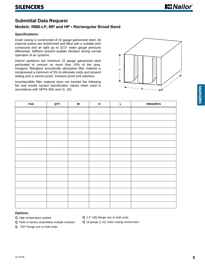#### <span id="page-6-0"></span>**Submittal Data Request**

#### **Models: RBB-LP, MP and HP • Rectangular Broad Band**

#### **Specifications:**

Outer casing is constructed of 22 gauge galvanized steel. All external seams are lockformed and filled with a suitable joint compound and air tight up to 10.0" water gauge pressure differential. Stiffners prevent audible vibration during normal operation of air systems.

Interior partitions are minimum 22 gauge galvanized steel perforated to remove no more than 15% of the area. Inorganic fiberglass acoustically absorptive filler material is compressed a minimum of 5% to eliminate voids and prevent setting and is vermin proof, moisture proof and odorless.

Incombustible filler material does not exceed the following fire and smoke hazard classification values when used in accordance with NFPA 90A and UL 181.



| <b>TAG</b> | QTY | W | $\mathsf H$ | L | <b>REMARKS</b> |
|------------|-----|---|-------------|---|----------------|
|            |     |   |             |   |                |
|            |     |   |             |   |                |
|            |     |   |             |   |                |
|            |     |   |             |   |                |
|            |     |   |             |   |                |
|            |     |   |             |   |                |
|            |     |   |             |   |                |
|            |     |   |             |   |                |
|            |     |   |             |   |                |
|            |     |   |             |   |                |
|            |     |   |             |   |                |
|            |     |   |             |   |                |
|            |     |   |             |   |                |
|            |     |   |             |   |                |
|            |     |   |             |   |                |
|            |     |   |             |   |                |

#### **Options:**

High temperature sealant

Field or factory assembled multiple modules

TDF Flange one or both ends

1.5" (38) flange one or both ends

18 gauge (1.31) outer casing construction

**SILENCERS**

**SILENCERS**